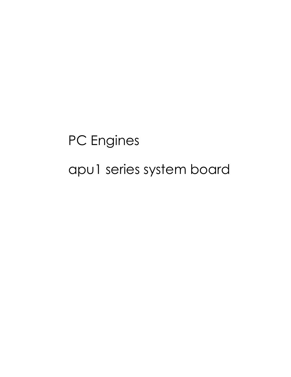PC Engines apu1 series system board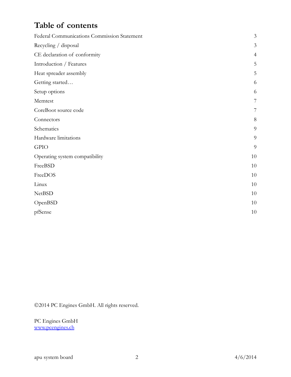# Table of contents

| Federal Communications Commission Statement |                |
|---------------------------------------------|----------------|
| Recycling / disposal                        | 3              |
| CE declaration of conformity                | $\overline{4}$ |
| Introduction / Features                     | 5              |
| Heat spreader assembly                      | 5              |
| Getting started                             | 6              |
| Setup options                               | 6              |
| Memtest                                     | 7              |
| CoreBoot source code                        | 7              |
| Connectors                                  | 8              |
| Schematics                                  | 9              |
| Hardware limitations                        | 9              |
| <b>GPIO</b>                                 | 9              |
| Operating system compatibility              | 10             |
| FreeBSD                                     | 10             |
| FreeDOS                                     | 10             |
| Linux                                       | 10             |
| <b>NetBSD</b>                               | 10             |
| OpenBSD                                     | 10             |
| pfSense                                     | 10             |

2014 PC Engines GmbH. All rights reserved.

PC Engines GmbH www.pcengines.ch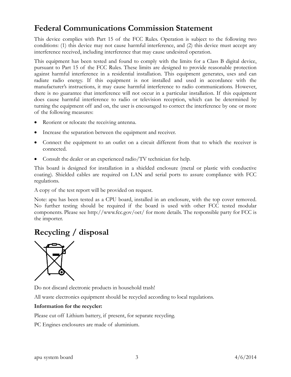### Federal Communications Commission Statement

This device complies with Part 15 of the FCC Rules. Operation is subject to the following two conditions: (1) this device may not cause harmful interference, and (2) this device must accept any interference received, including interference that may cause undesired operation.

This equipment has been tested and found to comply with the limits for a Class B digital device, pursuant to Part 15 of the FCC Rules. These limits are designed to provide reasonable protection against harmful interference in a residential installation. This equipment generates, uses and can radiate radio energy. If this equipment is not installed and used in accordance with the manufacturer's instructions, it may cause harmful interference to radio communications. However, there is no guarantee that interference will not occur in a particular installation. If this equipment does cause harmful interference to radio or television reception, which can be determined by turning the equipment off and on, the user is encouraged to correct the interference by one or more of the following measures:

- Reorient or relocate the receiving antenna.
- Increase the separation between the equipment and receiver.
- Connect the equipment to an outlet on a circuit different from that to which the receiver is connected.
- Consult the dealer or an experienced radio/TV technician for help.

This board is designed for installation in a shielded enclosure (metal or plastic with conductive coating). Shielded cables are required on LAN and serial ports to assure compliance with FCC regulations.

A copy of the test report will be provided on request.

Note: apu has been tested as a CPU board, installed in an enclosure, with the top cover removed. No further testing should be required if the board is used with other FCC tested modular components. Please see http://www.fcc.gov/oet/ for more details. The responsible party for FCC is the importer.

#### Recycling / disposal



Do not discard electronic products in household trash!

All waste electronics equipment should be recycled according to local regulations.

#### Information for the recycler:

Please cut off Lithium battery, if present, for separate recycling.

PC Engines enclosures are made of aluminium.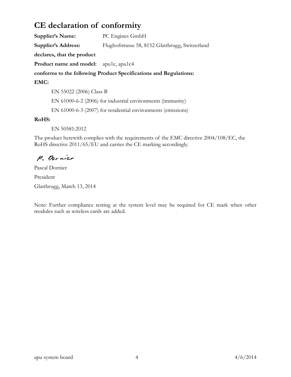### CE declaration of conformity

Supplier's Name: PC Engines GmbH Supplier's Address: Flughofstrasse 58, 8152 Glattbrugg, Switzerland declares, that the product Product name and model: apu1c, apu1c4 conforms to the following Product Specifications and Regulations: EMC: EN 55022 (2006) Class B

EN 61000-6-2 (2006) for industrial environments (immunity)

EN 61000-6-3 (2007) for residential environments (emissions)

#### RoHS:

EN 50581:2012

The product herewith complies with the requirements of the EMC directive 2004/108/EC, the RoHS directive 2011/65/EU and carries the CE marking accordingly.

P. Dornier

Pascal Dornier President Glattbrugg, March 13, 2014

Note: Further compliance testing at the system level may be required for CE mark when other modules such as wireless cards are added.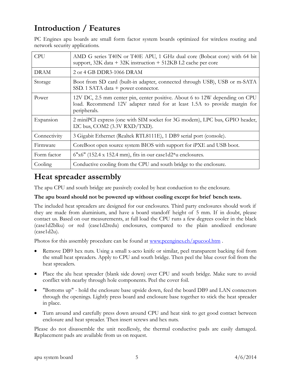## Introduction / Features

PC Engines apu boards are small form factor system boards optimized for wireless routing and network security applications.

| <b>CPU</b>   | AMD G series T40N or T40E APU, 1 GHz dual core (Bobcat core) with 64 bit<br>support, 32K data + 32K instruction + 512KB L2 cache per core                                |
|--------------|--------------------------------------------------------------------------------------------------------------------------------------------------------------------------|
| <b>DRAM</b>  | 2 or 4 GB DDR3-1066 DRAM                                                                                                                                                 |
| Storage      | Boot from SD card (built-in adapter, connected through USB), USB or m-SATA<br>SSD. 1 SATA data $+$ power connector.                                                      |
| Power        | 12V DC, 2.5 mm center pin, center positive. About 6 to 12W depending on CPU<br>load. Recommend 12V adapter rated for at least 1.5A to provide margin for<br>peripherals. |
| Expansion    | 2 miniPCI express (one with SIM socket for 3G modem), LPC bus, GPIO header,<br>I2C bus, COM2 (3.3V RXD/TXD).                                                             |
| Connectivity | 3 Gigabit Ethernet (Realtek RTL8111E), 1 DB9 serial port (console).                                                                                                      |
| Firmware     | CoreBoot open source system BIOS with support for iPXE and USB boot.                                                                                                     |
| Form factor  | $6"x6"$ (152.4 x 152.4 mm), fits in our case1d2*u enclosures.                                                                                                            |
| Cooling      | Conductive cooling from the CPU and south bridge to the enclosure.                                                                                                       |

### Heat spreader assembly

The apu CPU and south bridge are passively cooled by heat conduction to the enclosure.

#### The apu board should not be powered up without cooling except for brief bench tests.

The included heat spreaders are designed for our enclosures. Third party enclosures should work if they are made from aluminium, and have a board standoff height of 5 mm. If in doubt, please contact us. Based on our measurements, at full load the CPU runs a few degrees cooler in the black (case1d2blku) or red (case1d2redu) enclosures, compared to the plain anodized enclosure (case1d2u).

Photos for this assembly procedure can be found at www.pcengines.ch/apucool.htm.

- Remove DB9 hex nuts. Using a small x-acto knife or similar, peel transparent backing foil from the small heat spreaders. Apply to CPU and south bridge. Then peel the blue cover foil from the heat spreaders.
- Place the alu heat spreader (blank side down) over CPU and south bridge. Make sure to avoid conflict with nearby through hole components. Peel the cover foil.
- "Bottoms up" hold the enclosure base upside down, feed the board DB9 and LAN connectors through the openings. Lightly press board and enclosure base together to stick the heat spreader in place.
- Turn around and carefully press down around CPU and heat sink to get good contact between enclosure and heat spreader. Then insert screws and hex nuts.

Please do not disassemble the unit needlessly, the thermal conductive pads are easily damaged. Replacement pads are available from us on request.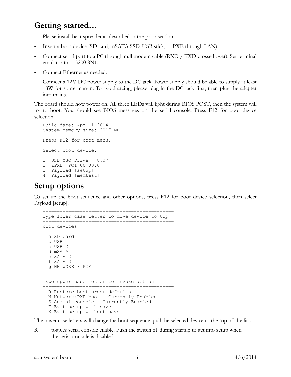### Getting started…

- Please install heat spreader as described in the prior section.
- Insert a boot device (SD card, mSATA SSD, USB stick, or PXE through LAN).
- Connect serial port to a PC through null modem cable (RXD / TXD crossed over). Set terminal emulator to 115200 8N1.
- Connect Ethernet as needed.
- Connect a 12V DC power supply to the DC jack. Power supply should be able to supply at least 18W for some margin. To avoid arcing, please plug in the DC jack first, then plug the adapter into mains.

The board should now power on. All three LEDs will light during BIOS POST, then the system will try to boot. You should see BIOS messages on the serial console. Press F12 for boot device selection:

```
Build date: Apr 1 2014
System memory size: 2017 MB
Press F12 for boot menu.
Select boot device:
1. USB MSC Drive 8.07
2. iPXE (PCI 00:00.0)
3. Payload [setup]
4. Payload [memtest]
```
### Setup options

To set up the boot sequence and other options, press F12 for boot device selection, then select Payload [setup].

```
==============================================
Type lower case letter to move device to top
==============================================
boot devices
   a SD Card
   b USB 1
   c USB 2
   d mSATA
   e SATA 2
   f SATA 3
   g NETWORK / PXE
==============================================
Type upper case letter to invoke action
==============================================
   R Restore boot order defaults
   N Network/PXE boot - Currently Enabled
   S Serial console - Currently Enabled
   E Exit setup with save
   X Exit setup without save
```
The lower case letters will change the boot sequence, pull the selected device to the top of the list.

R toggles serial console enable. Push the switch S1 during startup to get into setup when the serial console is disabled.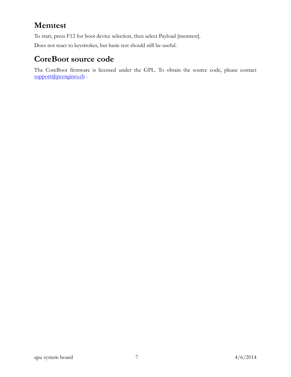# Memtest

To start, press F12 for boot device selection, then select Payload [memtest].

Does not react to keystrokes, but basic test should still be useful.

### CoreBoot source code

The CoreBoot firmware is licensed under the GPL. To obtain the source code, please contact support@pcengines.ch.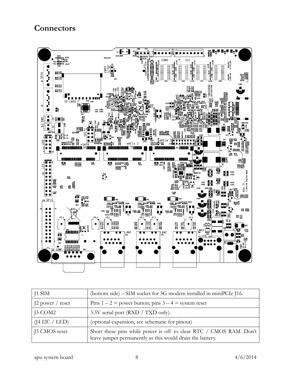#### **Connectors**



| $\vert$ J1 SIM                  | (bottom side) – SIM socket for 3G modem installed in miniPCIe J16.                                                              |
|---------------------------------|---------------------------------------------------------------------------------------------------------------------------------|
| $12$ power / reset              | Pins $1 - 2$ = power button; pins $3 - 4$ = system reset                                                                        |
| $\vert$ J3 COM2                 | 3.3V serial port (RXD / TXD only).                                                                                              |
| $(14 \text{ I2C} / \text{LED})$ | (optional expansion, see schematic for pinout)                                                                                  |
| 15 CMOS reset                   | Short these pins while power is off to clear RTC / CMOS RAM. Don't<br>leave jumper permanently as this would drain the battery. |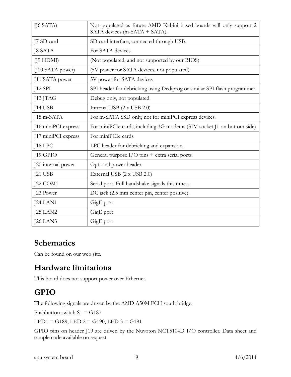| $($ [6 SATA $)$     | Not populated as future AMD Kabini based boards will only support 2<br>SATA devices (m-SATA + SATA). |
|---------------------|------------------------------------------------------------------------------------------------------|
| J7 SD card          | SD card interface, connected through USB.                                                            |
| <b>J8 SATA</b>      | For SATA devices.                                                                                    |
| $($ [9 HDMI $)$     | (Not populated, and not supported by our BIOS)                                                       |
| (J10 SATA power)    | (5V power for SATA devices, not populated)                                                           |
| J11 SATA power      | 5V power for SATA devices.                                                                           |
| $J12$ SPI           | SPI header for debricking using Dediprog or similar SPI flash programmer.                            |
| J13 JTAG            | Debug only, not populated.                                                                           |
| J14 USB             | Internal USB (2 x USB 2.0)                                                                           |
| J15 m-SATA          | For m-SATA SSD only, not for miniPCI express devices.                                                |
| 116 miniPCI express | For miniPCIe cards, including 3G modems (SIM socket J1 on bottom side)                               |
| J17 miniPCI express | For miniPCIe cards.                                                                                  |
| $18$ LPC            | LPC header for debricking and expansion.                                                             |
| J19 GPIO            | General purpose I/O pins + extra serial ports.                                                       |
| J20 internal power  | Optional power header                                                                                |
| $J21$ USB           | External USB (2 x USB 2.0)                                                                           |
| J22 COM1            | Serial port. Full handshake signals this time                                                        |
| J23 Power           | DC jack (2.5 mm center pin, center positive).                                                        |
| $J24$ LAN1          | GigE port                                                                                            |
| $J25$ LAN2          | GigE port                                                                                            |
| $126$ LAN3          | GigE port                                                                                            |

### **Schematics**

Can be found on our web site.

### Hardware limitations

This board does not support power over Ethernet.

## GPIO

The following signals are driven by the AMD A50M FCH south bridge:

Pushbutton switch  $S1 = G187$ 

LED1 = G189, LED  $2 = G190$ , LED  $3 = G191$ 

GPIO pins on header J19 are driven by the Nuvoton NCT5104D I/O controller. Data sheet and sample code available on request.